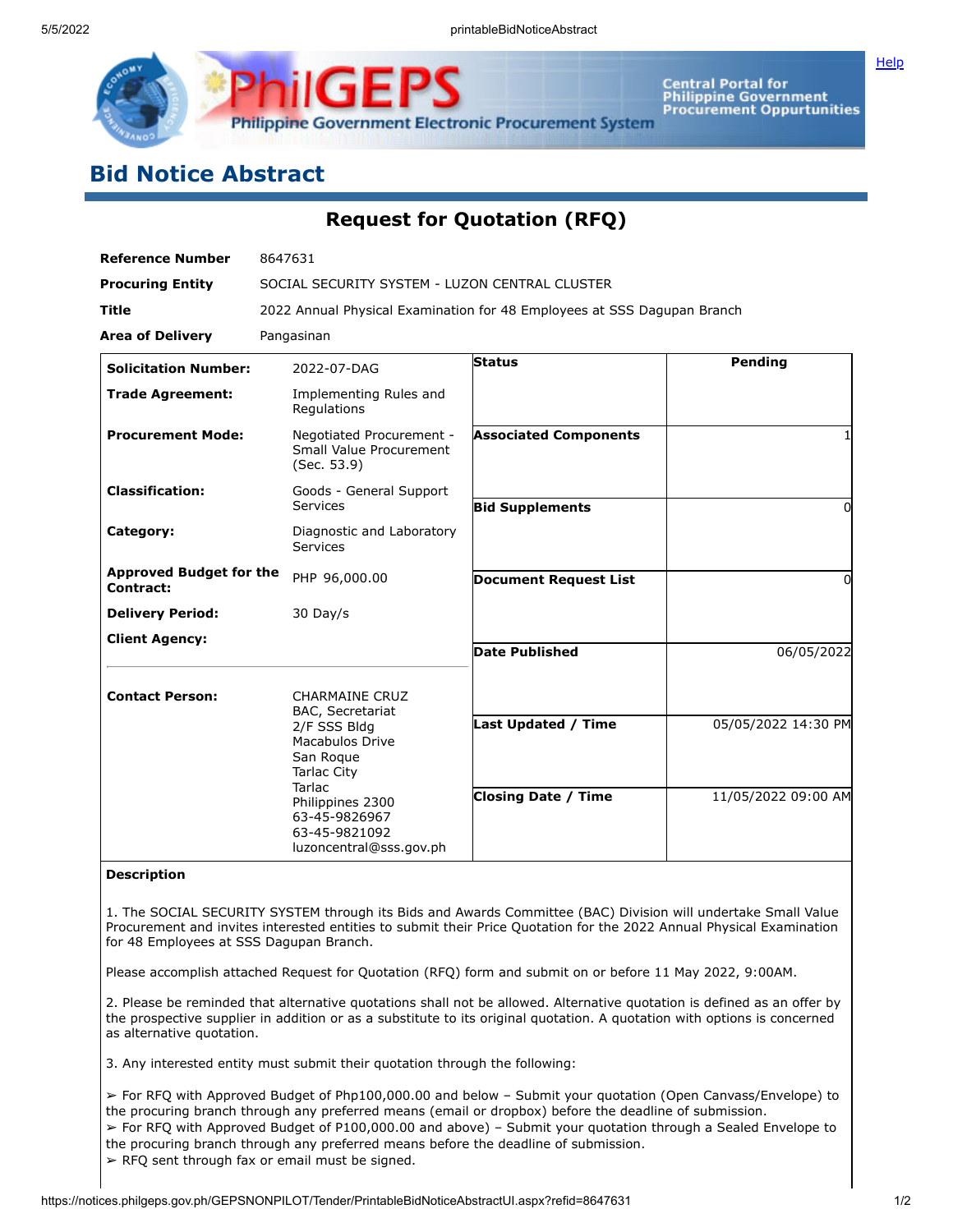

Central Portal for<br>Philippine Government<br>Procurement Oppurtunities

## **Bid Notice Abstract**

## **Request for Quotation (RFQ)**

| <b>Reference Number</b>                     | 8647631                                                                                                                                                                                                           |                              |                     |  |  |
|---------------------------------------------|-------------------------------------------------------------------------------------------------------------------------------------------------------------------------------------------------------------------|------------------------------|---------------------|--|--|
| <b>Procuring Entity</b>                     | SOCIAL SECURITY SYSTEM - LUZON CENTRAL CLUSTER                                                                                                                                                                    |                              |                     |  |  |
| <b>Title</b>                                | 2022 Annual Physical Examination for 48 Employees at SSS Dagupan Branch                                                                                                                                           |                              |                     |  |  |
| <b>Area of Delivery</b>                     | Pangasinan                                                                                                                                                                                                        |                              |                     |  |  |
| <b>Solicitation Number:</b>                 | 2022-07-DAG                                                                                                                                                                                                       | Status                       | Pending             |  |  |
| <b>Trade Agreement:</b>                     | Implementing Rules and<br>Regulations                                                                                                                                                                             |                              |                     |  |  |
| <b>Procurement Mode:</b>                    | Negotiated Procurement -<br><b>Small Value Procurement</b><br>(Sec. 53.9)                                                                                                                                         | <b>Associated Components</b> |                     |  |  |
| <b>Classification:</b>                      | Goods - General Support<br>Services                                                                                                                                                                               | <b>Bid Supplements</b>       | 0                   |  |  |
| Category:                                   | Diagnostic and Laboratory<br><b>Services</b>                                                                                                                                                                      |                              |                     |  |  |
| <b>Approved Budget for the</b><br>Contract: | PHP 96,000.00                                                                                                                                                                                                     | <b>Document Request List</b> | 0                   |  |  |
| <b>Delivery Period:</b>                     | 30 Day/s                                                                                                                                                                                                          |                              |                     |  |  |
| <b>Client Agency:</b>                       |                                                                                                                                                                                                                   | <b>Date Published</b>        | 06/05/2022          |  |  |
| <b>Contact Person:</b>                      | <b>CHARMAINE CRUZ</b><br>BAC, Secretariat<br>2/F SSS Bldg<br><b>Macabulos Drive</b><br>San Roque<br><b>Tarlac City</b><br>Tarlac<br>Philippines 2300<br>63-45-9826967<br>63-45-9821092<br>luzoncentral@sss.gov.ph | <b>Last Updated / Time</b>   | 05/05/2022 14:30 PM |  |  |
|                                             |                                                                                                                                                                                                                   |                              |                     |  |  |
|                                             |                                                                                                                                                                                                                   | <b>Closing Date / Time</b>   | 11/05/2022 09:00 AM |  |  |

## **Description**

1. The SOCIAL SECURITY SYSTEM through its Bids and Awards Committee (BAC) Division will undertake Small Value Procurement and invites interested entities to submit their Price Quotation for the 2022 Annual Physical Examination for 48 Employees at SSS Dagupan Branch.

Please accomplish attached Request for Quotation (RFQ) form and submit on or before 11 May 2022, 9:00AM.

2. Please be reminded that alternative quotations shall not be allowed. Alternative quotation is defined as an offer by the prospective supplier in addition or as a substitute to its original quotation. A quotation with options is concerned as alternative quotation.

3. Any interested entity must submit their quotation through the following:

➢ For RFQ with Approved Budget of Php100,000.00 and below – Submit your quotation (Open Canvass/Envelope) to the procuring branch through any preferred means (email or dropbox) before the deadline of submission. ➢ For RFQ with Approved Budget of P100,000.00 and above) – Submit your quotation through a Sealed Envelope to the procuring branch through any preferred means before the deadline of submission.  $\triangleright$  RFQ sent through fax or email must be signed.